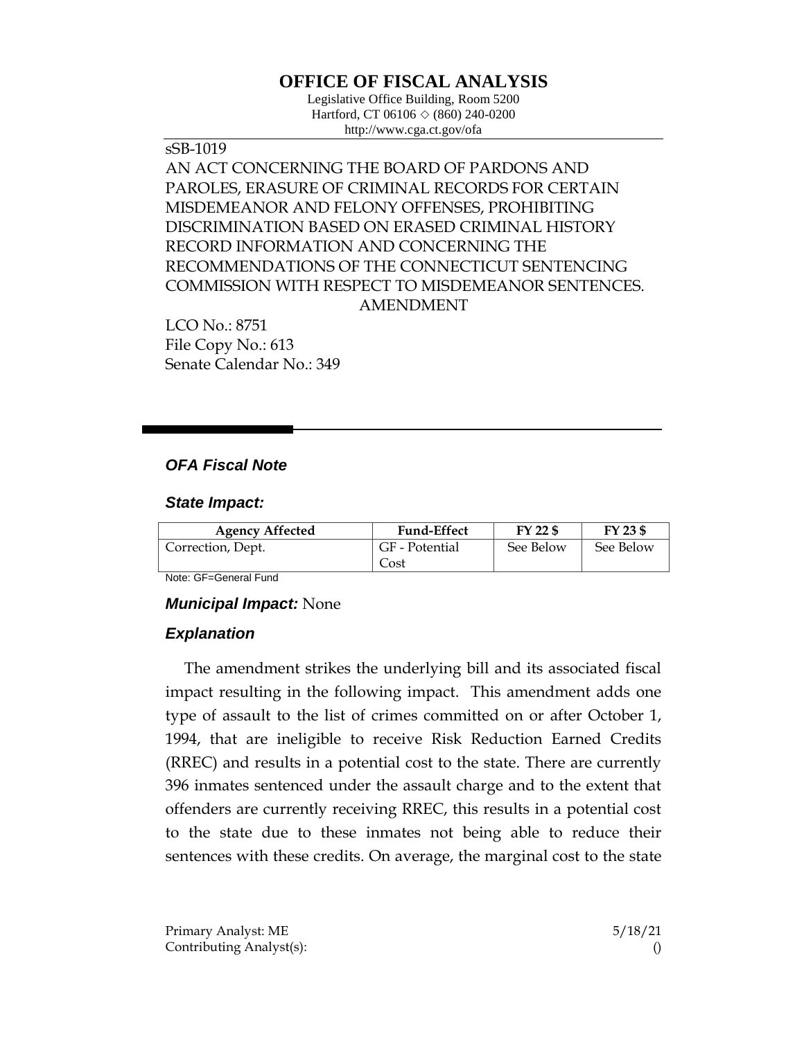# **OFFICE OF FISCAL ANALYSIS**

Legislative Office Building, Room 5200 Hartford, CT 06106 ◇ (860) 240-0200 http://www.cga.ct.gov/ofa

sSB-1019 AN ACT CONCERNING THE BOARD OF PARDONS AND PAROLES, ERASURE OF CRIMINAL RECORDS FOR CERTAIN MISDEMEANOR AND FELONY OFFENSES, PROHIBITING DISCRIMINATION BASED ON ERASED CRIMINAL HISTORY RECORD INFORMATION AND CONCERNING THE RECOMMENDATIONS OF THE CONNECTICUT SENTENCING COMMISSION WITH RESPECT TO MISDEMEANOR SENTENCES. AMENDMENT

LCO No.: 8751 File Copy No.: 613 Senate Calendar No.: 349

## *OFA Fiscal Note*

#### *State Impact:*

| <b>Agency Affected</b> | <b>Fund-Effect</b> | FY 22 \$  | FY 23 \$  |
|------------------------|--------------------|-----------|-----------|
| Correction, Dept.      | GF - Potential     | See Below | See Below |
|                        | Cost               |           |           |

Note: GF=General Fund

#### *Municipal Impact:* None

## *Explanation*

The amendment strikes the underlying bill and its associated fiscal impact resulting in the following impact. This amendment adds one type of assault to the list of crimes committed on or after October 1, 1994, that are ineligible to receive Risk Reduction Earned Credits (RREC) and results in a potential cost to the state. There are currently 396 inmates sentenced under the assault charge and to the extent that offenders are currently receiving RREC, this results in a potential cost to the state due to these inmates not being able to reduce their sentences with these credits. On average, the marginal cost to the state